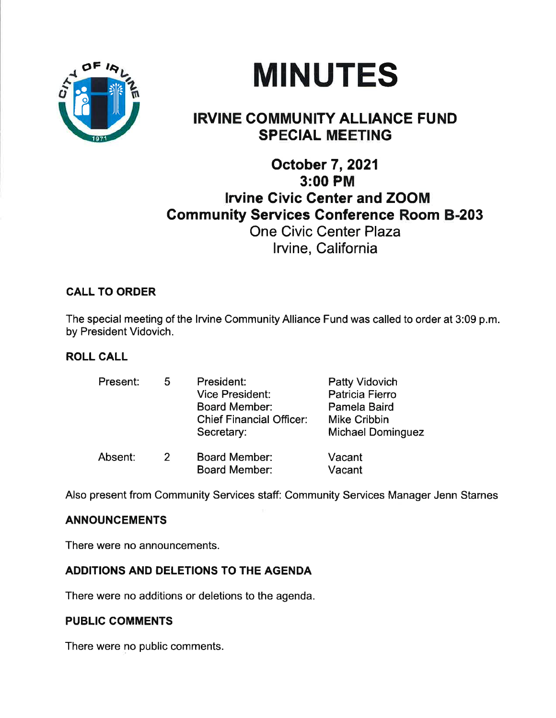



# IRVINE COMMUNITY ALLIANCE FUND SPECIAL MEETING

## October 7,2021 3:00 PM lrvine Civic Center and ZOOM **Community Services Conference Room B-203** One Civic Center Plaza lrvine, California

## CALL TO ORDER

The special meeting of the lrvine Community Alliance Fund was called to order at 3:09 p.m. by President Vidovich.

## ROLL CALL

| Present: | 5. | President:<br><b>Vice President:</b><br><b>Board Member:</b><br><b>Chief Financial Officer:</b><br>Secretary: | <b>Patty Vidovich</b><br>Patricia Fierro<br>Pamela Baird<br>Mike Cribbin<br><b>Michael Dominguez</b> |
|----------|----|---------------------------------------------------------------------------------------------------------------|------------------------------------------------------------------------------------------------------|
| Absent:  | 2  | <b>Board Member:</b><br><b>Board Member:</b>                                                                  | Vacant<br>Vacant                                                                                     |

Also present from Community Services staff: Community Services Manager Jenn Starnes

## ANNOUNCEMENTS

There were no announcements.

## ADDITIONS AND DELETIONS TO THE AGENDA

There were no additions or deletions to the agenda.

## PUBLIC COMMENTS

There were no public comments.